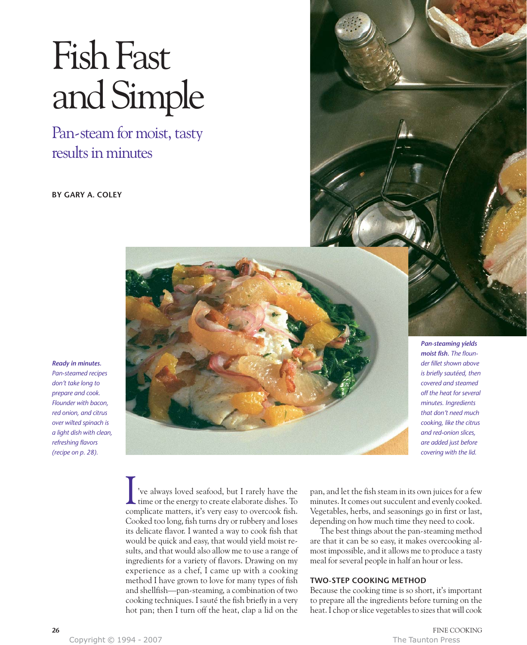# Fish Fast and Simple

Pan-steam for moist, tasty results in minutes

**BY GARY A. COLEY**





*Pan-steaming yields moist fish. The flounder fillet shown above is briefly sautéed, then covered and steamed off the heat for several minutes. Ingredients that don't need much cooking, like the citrus and red-onion slices, are added just before covering with the lid.*

*Ready in minutes. Pan-steamed recipes don't take long to prepare and cook. Flounder with bacon, red onion, and citrus over wilted spinach is a light dish with clean, refreshing flavors (recipe on p. 28).*

> 've always loved seafood, but I rarely have the time or the energy to create elaborate dishes. To complicate matters, it's very easy to overcook fish. Cooked too long, fish turns dry or rubbery and loses its delicate flavor. I wanted a way to cook fish that would be quick and easy, that would yield moist results, and that would also allow me to use a range of ingredients for a variety of flavors. Drawing on my experience as a chef, I came up with a cooking method I have grown to love for many types of fish and shellfish—pan-steaming, a combination of two cooking techniques. I sauté the fish briefly in a very hot pan; then I turn off the heat, clap a lid on the I

pan, and let the fish steam in its own juices for a few minutes. It comes out succulent and evenly cooked. Vegetables, herbs, and seasonings go in first or last, depending on how much time they need to cook.

The best things about the pan-steaming method are that it can be so easy, it makes overcooking almost impossible, and it allows me to produce a tasty meal for several people in half an hour or less.

# **TWO-STEP COOKING METHOD**

Because the cooking time is so short, it's important to prepare all the ingredients before turning on the heat. I chop or slice vegetables to sizes that will cook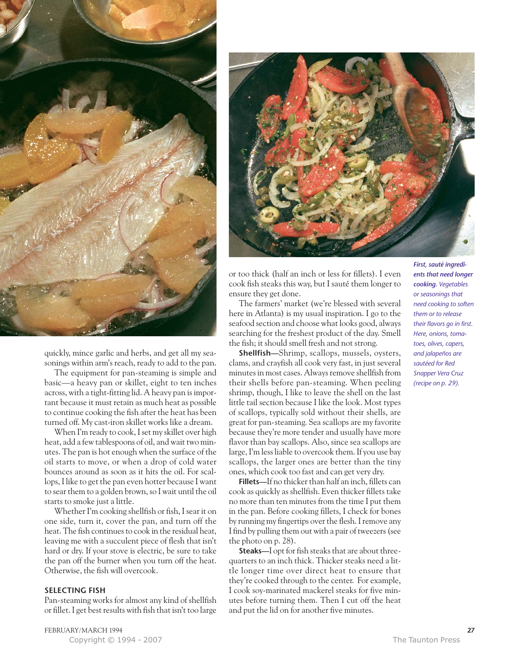

quickly, mince garlic and herbs, and get all my seasonings within arm's reach, ready to add to the pan.

The equipment for pan-steaming is simple and basic—a heavy pan or skillet, eight to ten inches across, with a tight-fitting lid. A heavy pan is important because it must retain as much heat as possible to continue cooking the fish after the heat has been turned off. My cast-iron skillet works like a dream.

When I'm ready to cook, I set my skillet over high heat, add a few tablespoons of oil, and wait two minutes. The pan is hot enough when the surface of the oil starts to move, or when a drop of cold water bounces around as soon as it hits the oil. For scallops, I like to get the pan even hotter because I want to sear them to a golden brown, so I wait until the oil starts to smoke just a little.

Whether I'm cooking shellfish or fish, I sear it on one side, turn it, cover the pan, and turn off the heat. The fish continues to cook in the residual heat, leaving me with a succulent piece of flesh that isn't hard or dry. If your stove is electric, be sure to take the pan off the burner when you turn off the heat. Otherwise, the fish will overcook.

### **SELECTING FISH**

Pan-steaming works for almost any kind of shellfish or fillet. I get best results with fish that isn't too large



or too thick (half an inch or less for fillets). I even cook fish steaks this way, but I sauté them longer to ensure they get done.

The farmers' market (we're blessed with several here in Atlanta) is my usual inspiration. I go to the seafood section and choose what looks good, always searching for the freshest product of the day. Smell the fish; it should smell fresh and not strong.

**Shellfish—**Shrimp, scallops, mussels, oysters, clams, and crayfish all cook very fast, in just several minutes in most cases. Always remove shellfish from their shells before pan-steaming. When peeling shrimp, though, I like to leave the shell on the last little tail section because I like the look. Most types of scallops, typically sold without their shells, are great for pan-steaming. Sea scallops are my favorite because they're more tender and usually have more flavor than bay scallops. Also, since sea scallops are large, I'm less liable to overcook them. If you use bay scallops, the larger ones are better than the tiny ones, which cook too fast and can get very dry.

**Fillets—**If no thicker than half an inch, fillets can cook as quickly as shellfish. Even thicker fillets take no more than ten minutes from the time I put them in the pan. Before cooking fillets, I check for bones by running my fingertips over the flesh. I remove any I find by pulling them out with a pair of tweezers (see the photo on p. 28).

**Steaks—**I opt for fish steaks that are about threequarters to an inch thick. Thicker steaks need a little longer time over direct heat to ensure that they're cooked through to the center. For example, I cook soy-marinated mackerel steaks for five minutes before turning them. Then I cut off the heat and put the lid on for another five minutes.

*First, sauté ingredients that need longer cooking. Vegetables or seasonings that need cooking to soften them or to release their flavors go in first. Here, onions, tomatoes, olives, capers, and jalapeños are sautéed for Red Snapper Vera Cruz (recipe on p. 29).*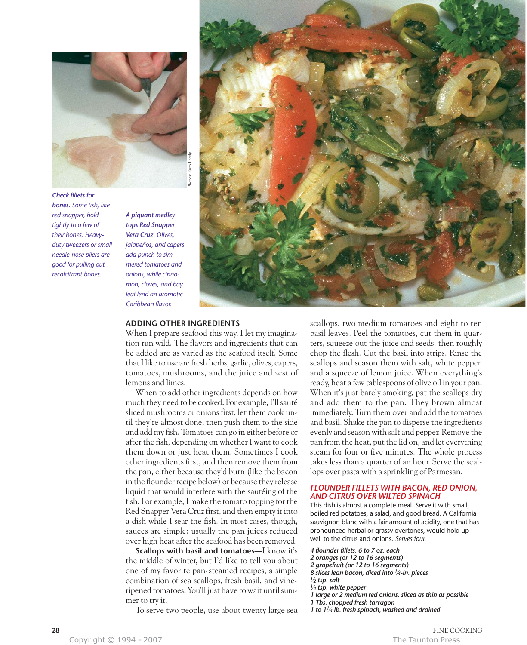

*Check fillets for bones. Some fish, like red snapper, hold tightly to a few of their bones. Heavyduty tweezers or small needle-nose pliers are good for pulling out recalcitrant bones.*

*A piquant medley tops Red Snapper Vera Cruz. Olives, jalapeños, and capers add punch to simmered tomatoes and onions, while cinnamon, cloves, and bay leaf lend an aromatic Caribbean flavor.*



## **ADDING OTHER INGREDIENTS**

When I prepare seafood this way, I let my imagination run wild. The flavors and ingredients that can be added are as varied as the seafood itself. Some that I like to use are fresh herbs, garlic, olives, capers, tomatoes, mushrooms, and the juice and zest of lemons and limes.

When to add other ingredients depends on how much they need to be cooked. For example, I'll sauté sliced mushrooms or onions first, let them cook until they're almost done, then push them to the side and add my fish. Tomatoes can go in either before or after the fish, depending on whether I want to cook them down or just heat them. Sometimes I cook other ingredients first, and then remove them from the pan, either because they'd burn (like the bacon in the flounder recipe below) or because they release liquid that would interfere with the sautéing of the fish. For example, I make the tomato topping for the Red Snapper Vera Cruz first, and then empty it into a dish while I sear the fish. In most cases, though, sauces are simple: usually the pan juices reduced over high heat after the seafood has been removed.

**Scallops with basil and tomatoes—**I know it's the middle of winter, but I'd like to tell you about one of my favorite pan-steamed recipes, a simple combination of sea scallops, fresh basil, and vineripened tomatoes. You'll just have to wait until summer to try it.

To serve two people, use about twenty large sea

scallops, two medium tomatoes and eight to ten basil leaves. Peel the tomatoes, cut them in quarters, squeeze out the juice and seeds, then roughly chop the flesh. Cut the basil into strips. Rinse the scallops and season them with salt, white pepper, and a squeeze of lemon juice. When everything's ready, heat a few tablespoons of olive oil in your pan. When it's just barely smoking, pat the scallops dry and add them to the pan. They brown almost immediately. Turn them over and add the tomatoes and basil. Shake the pan to disperse the ingredients evenly and season with salt and pepper. Remove the pan from the heat, put the lid on, and let everything steam for four or five minutes. The whole process takes less than a quarter of an hour. Serve the scallops over pasta with a sprinkling of Parmesan.

# *FLOUNDER FILLETS WITH BACON, RED ONION, AND CITRUS OVER WILTED SPINACH*

This dish is almost a complete meal. Serve it with small, boiled red potatoes, a salad, and good bread. A California sauvignon blanc with a fair amount of acidity, one that has pronounced herbal or grassy overtones, would hold up well to the citrus and onions. *Serves four.*

*4 flounder fillets, 6 to 7 oz. each*

- *2 oranges (or 12 to 16 segments)*
- *2 grapefruit (or 12 to 16 segments)*
- *8 slices lean bacon, diced into 1⁄4-in. pieces 1⁄2 tsp. salt*
- *1⁄4 tsp. white pepper*
- *1 large or 2 medium red onions, sliced as thin as possible*
- *1 Tbs. chopped fresh tarragon*
- *1 to 11⁄4 lb. fresh spinach, washed and drained*